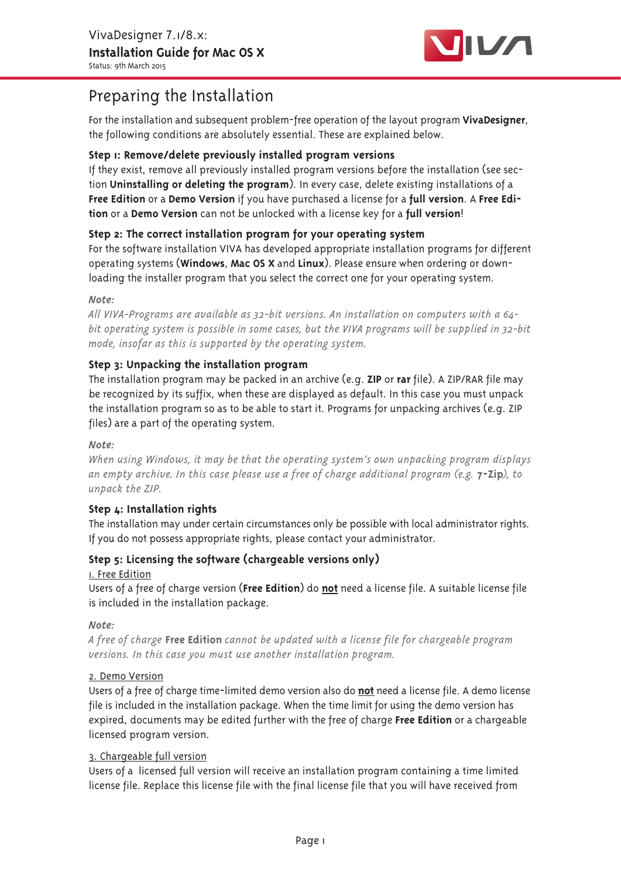

# Preparing the Installation

For the installation and subsequent problem-free operation of the layout program VivaDesigner, the following conditions are absolutely essential. These are explained below.

## Step 1: Remove/delete previously installed program versions

If they exist, remove all previously installed program versions before the installation (see section Uninstalling or deleting the program). In every case, delete existing installations of a Free Edition or a Demo Version if you have purchased a license for a full version. A Free Edition or a Demo Version can not be unlocked with a license key for a full version!

# Step 2: The correct installation program for your operating system

For the software installation VIVA has developed appropriate installation programs for different operating systems (Windows, Mac OS X and Linux). Please ensure when ordering or downloading the installer program that you select the correct one for your operating system.

## Note:

All VIVA-Programs are available as 32-bit versions. An installation on computers with a 64bit operating system is possible in some cases, but the VIVA programs will be supplied in 32-bit mode, insofar as this is supported by the operating system.

# Step 3: Unpacking the installation program

The installation program may be packed in an archive (e.g.  $ZIP$  or rar file). A ZIP/RAR file may be recognized by its suffix, when these are displayed as default. In this case you must unpack the installation program so as to be able to start it. Programs for unpacking archives (e.g. ZIP files) are a part of the operating system.

## Note:

When using Windows, it may be that the operating system's own unpacking program displays an empty archive. In this case please use a free of charge additional program (e.g. 7-Zip), to unpack the ZIP.

## Step L: Installation rights

The installation may under certain circumstances only be possible with local administrator rights. If you do not possess appropriate rights, please contact your administrator.

## Step 5: Licensing the software (chargeable versions only)

## I. Free Edition

Users of a free of charge version (Free Edition) do not need a license file. A suitable license file is included in the installation package.

Note:

A free of charge Free Edition cannot be updated with a license file for chargeable program versions. In this case you must use another installation program.

## 2. Demo Version

Users of a free of charge time-limited demo version also do not need a license file. A demo license file is included in the installation package. When the time limit for using the demo version has expired, documents may be edited further with the free of charge Free Edition or a chargeable licensed program version.

## 3. Chargeable full version

Users of a licensed full version will receive an installation program containing a time limited license file. Replace this license file with the final license file that you will have received from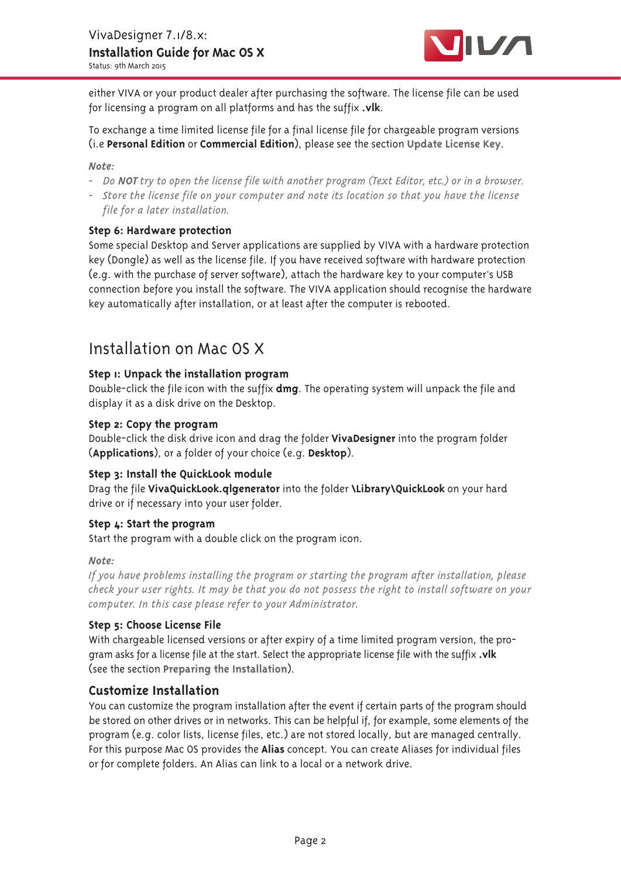

either VIVA or your product dealer after purchasing the software. The license file can be used for licensing a program on all platforms and has the suffix .vlk.

To exchange a time limited license file for a final license file for chargeable program versions (i.e Personal Edition or Commercial Edition), please see the section Update License Key.

#### Note:

- Do NOT try to open the license file with another program (Text Editor, etc.) or in a browser.
- Store the license file on your computer and note its location so that you have the license file for a later installation.

## Step 6: Hardware protection

Some special Desktop and Server applications are supplied by VIVA with a hardware protection key (Dongle) as well as the license file. If you have received software with hardware protection (e.g. with the purchase of server software), attach the hardware key to your computer's USB connection before you install the software. The VIVA application should recognise the hardware key automatically after installation, or at least after the computer is rebooted.

# Installation on Mac OS X

## Step <sub>I</sub>: Unpack the installation program

Double-click the file icon with the suffix **dmg**. The operating system will unpack the file and display it as a disk drive on the Desktop.

#### Step 2: Copy the program

Double-click the disk drive icon and drag the folder VivaDesigner into the program folder (Applications), or a folder of your choice (e.g. Desktop).

## Step 3: Install the QuickLook module

Drag the file VivaQuickLook.qlgenerator into the folder \Library\QuickLook on your hard drive or if necessary into your user folder.

## Step 4: Start the program

Start the program with a double click on the program icon.

#### Note:

If you have problems installing the program or starting the program after installation, please check your user rights. It may be that you do not possess the right to install software on your computer. In this case please refer to your Administrator.

## Step 5: Choose License File

With chargeable licensed versions or after expiry of a time limited program version, the program asks for a license file at the start. Select the appropriate license file with the suffix .vlk (see the section Preparing the Installation).

## **Customize Installation**

You can customize the program installation after the event if certain parts of the program should be stored on other drives or in networks. This can be helpful if, for example, some elements of the program (e.g. color lists, license files, etc.) are not stored locally, but are managed centrally. For this purpose Mac OS provides the Alias concept. You can create Aliases for individual files or for complete folders. An Alias can link to a local or a network drive.